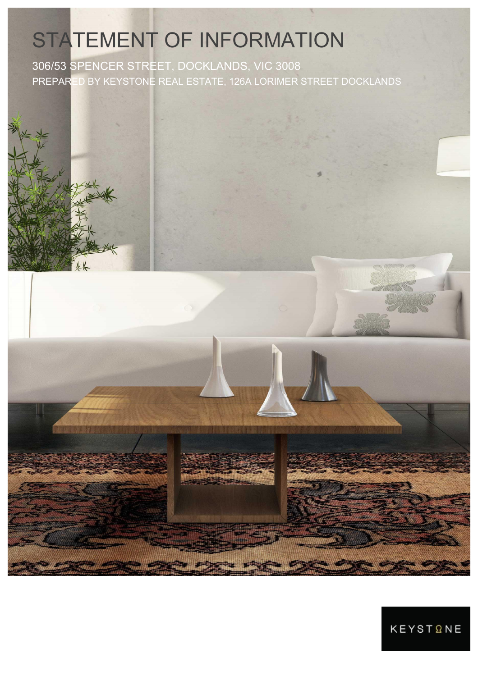# STATEMENT OF INFORMATION

306/53 SPENCER STREET, DOCKLANDS, VIC 3008 PREPARED BY KEYSTONE REAL ESTATE, 126A LORIMER STREET DOCKLANDS

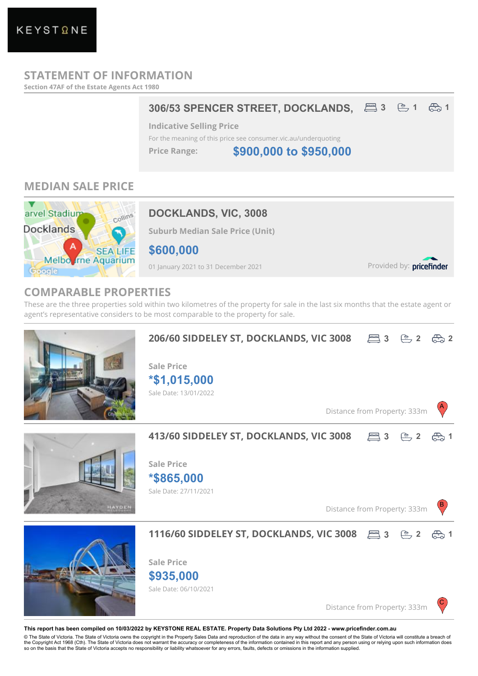# **STATEMENT OF INFORMATION**

**Section 47AF of the Estate Agents Act 1980**

### **306/53 SPENCER STREET, DOCKLANDS, 3 1 1**

**Indicative Selling Price**

For the meaning of this price see consumer.vic.au/underquoting

**Price Range:**

**\$900,000 to \$950,000**

# **MEDIAN SALE PRICE**



# **DOCKLANDS, VIC, 3008**

**Suburb Median Sale Price (Unit)**

**\$600,000**

01 January 2021 to 31 December 2021

Provided by: pricefinder

# **COMPARABLE PROPERTIES**

These are the three properties sold within two kilometres of the property for sale in the last six months that the estate agent or agent's representative considers to be most comparable to the property for sale.



#### **This report has been compiled on 10/03/2022 by KEYSTONE REAL ESTATE. Property Data Solutions Pty Ltd 2022 - www.pricefinder.com.au**

© The State of Victoria. The State of Victoria owns the copyright in the Property Sales Data and reproduction of the data in any way without the consent of the State of Victoria will constitute a breach of<br>the Copyright Ac so on the basis that the State of Victoria accepts no responsibility or liability whatsoever for any errors, faults, defects or omissions in the information supplied.